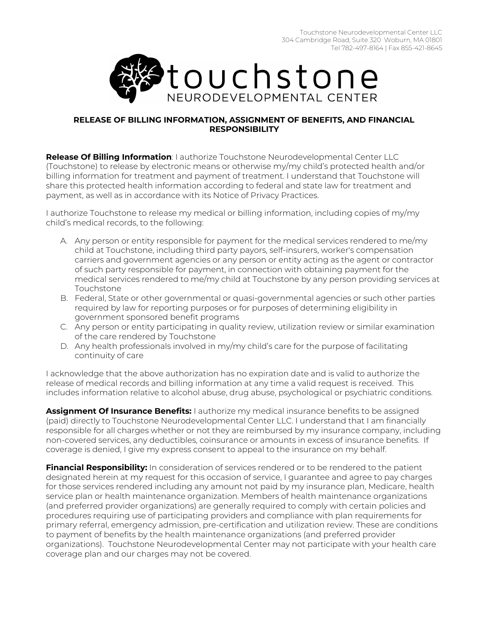

## **RELEASE OF BILLING INFORMATION, ASSIGNMENT OF BENEFITS, AND FINANCIAL RESPONSIBILITY**

**Release Of Billing Information**: I authorize Touchstone Neurodevelopmental Center LLC (Touchstone) to release by electronic means or otherwise my/my child's protected health and/or billing information for treatment and payment of treatment. I understand that Touchstone will share this protected health information according to federal and state law for treatment and payment, as well as in accordance with its Notice of Privacy Practices.

I authorize Touchstone to release my medical or billing information, including copies of my/my child's medical records, to the following:

- A. Any person or entity responsible for payment for the medical services rendered to me/my child at Touchstone, including third party payors, self-insurers, worker's compensation carriers and government agencies or any person or entity acting as the agent or contractor of such party responsible for payment, in connection with obtaining payment for the medical services rendered to me/my child at Touchstone by any person providing services at Touchstone
- B. Federal, State or other governmental or quasi-governmental agencies or such other parties required by law for reporting purposes or for purposes of determining eligibility in government sponsored benefit programs
- C. Any person or entity participating in quality review, utilization review or similar examination of the care rendered by Touchstone
- D. Any health professionals involved in my/my child's care for the purpose of facilitating continuity of care

I acknowledge that the above authorization has no expiration date and is valid to authorize the release of medical records and billing information at any time a valid request is received. This includes information relative to alcohol abuse, drug abuse, psychological or psychiatric conditions.

**Assignment Of Insurance Benefits:** I authorize my medical insurance benefits to be assigned (paid) directly to Touchstone Neurodevelopmental Center LLC. I understand that I am financially responsible for all charges whether or not they are reimbursed by my insurance company, including non-covered services, any deductibles, coinsurance or amounts in excess of insurance benefits. If coverage is denied, I give my express consent to appeal to the insurance on my behalf.

**Financial Responsibility:** In consideration of services rendered or to be rendered to the patient designated herein at my request for this occasion of service, I guarantee and agree to pay charges for those services rendered including any amount not paid by my insurance plan, Medicare, health service plan or health maintenance organization. Members of health maintenance organizations (and preferred provider organizations) are generally required to comply with certain policies and procedures requiring use of participating providers and compliance with plan requirements for primary referral, emergency admission, pre-certification and utilization review. These are conditions to payment of benefits by the health maintenance organizations (and preferred provider organizations). Touchstone Neurodevelopmental Center may not participate with your health care coverage plan and our charges may not be covered.